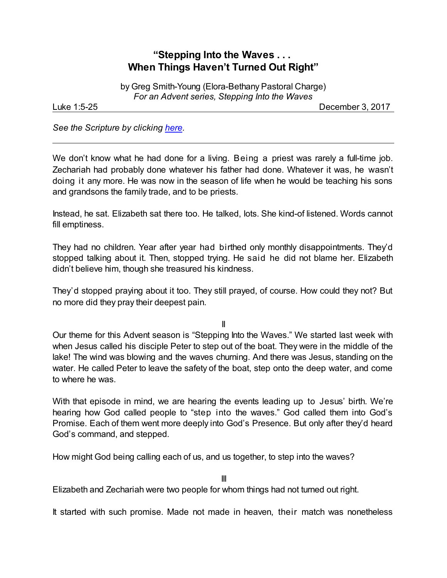## **"Stepping Into the Waves . . . When Things Haven't Turned Out Right"**

by Greg Smith-Young (Elora-Bethany Pastoral Charge) *For an Advent series, Stepping Into the Waves*

Luke 1:5-25 December 3, 2017

*See the Scripture by clicking [here](https://www.biblegateway.com/passage/?search=Luke+1%3A5-25&version=NRSV).*

We don't know what he had done for a living. Being a priest was rarely a full-time job. Zechariah had probably done whatever his father had done. Whatever it was, he wasn't doing it any more. He was now in the season of life when he would be teaching his sons and grandsons the family trade, and to be priests.

Instead, he sat. Elizabeth sat there too. He talked, lots. She kind-of listened. Words cannot fill emptiness.

They had no children. Year after year had birthed only monthly disappointments. They'd stopped talking about it. Then, stopped trying. He said he did not blame her. Elizabeth didn't believe him, though she treasured his kindness.

They'd stopped praying about it too. They still prayed, of course. How could they not? But no more did they pray their deepest pain.

II

Our theme for this Advent season is "Stepping Into the Waves." We started last week with when Jesus called his disciple Peter to step out of the boat. They were in the middle of the lake! The wind was blowing and the waves churning. And there was Jesus, standing on the water. He called Peter to leave the safety of the boat, step onto the deep water, and come to where he was.

With that episode in mind, we are hearing the events leading up to Jesus' birth. We're hearing how God called people to "step into the waves." God called them into God's Promise. Each of them went more deeply into God's Presence. But only after they'd heard God's command, and stepped.

How might God being calling each of us, and us together, to step into the waves?

III

Elizabeth and Zechariah were two people for whom things had not turned out right.

It started with such promise. Made not made in heaven, their match was nonetheless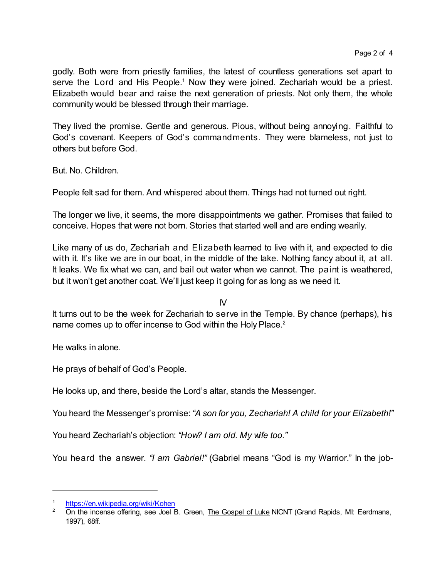godly. Both were from priestly families, the latest of countless generations set apart to serve the Lord and His People.<sup>1</sup> Now they were joined. Zechariah would be a priest. Elizabeth would bear and raise the next generation of priests. Not only them, the whole community would be blessed through their marriage.

They lived the promise. Gentle and generous. Pious, without being annoying. Faithful to God's covenant. Keepers of God's commandments. They were blameless, not just to others but before God.

But. No. Children.

People felt sad for them. And whispered about them. Things had not turned out right.

The longer we live, it seems, the more disappointments we gather. Promises that failed to conceive. Hopes that were not born. Stories that started well and are ending wearily.

Like many of us do, Zechariah and Elizabeth learned to live with it, and expected to die with it. It's like we are in our boat, in the middle of the lake. Nothing fancy about it, at all. It leaks. We fix what we can, and bail out water when we cannot. The paint is weathered, but it won't get another coat. We'll just keep it going for as long as we need it.

IV

It turns out to be the week for Zechariah to serve in the Temple. By chance (perhaps), his name comes up to offer incense to God within the Holy Place.<sup>2</sup>

He walks in alone.

He prays of behalf of God's People.

He looks up, and there, beside the Lord's altar, stands the Messenger.

You heard the Messenger's promise:*"A son for you, Zechariah! A child for your Elizabeth!"*

You heard Zechariah's objection: *"How? I am old. My wife too."*

You heard the answer. *"I am Gabriel!"* (Gabriel means "God is my Warrior." In the job-

<https://en.wikipedia.org/wiki/Kohen>

<sup>&</sup>lt;sup>2</sup> On the incense offering, see Joel B. Green, The Gospel of Luke NICNT (Grand Rapids, MI: Eerdmans, 1997), 68ff.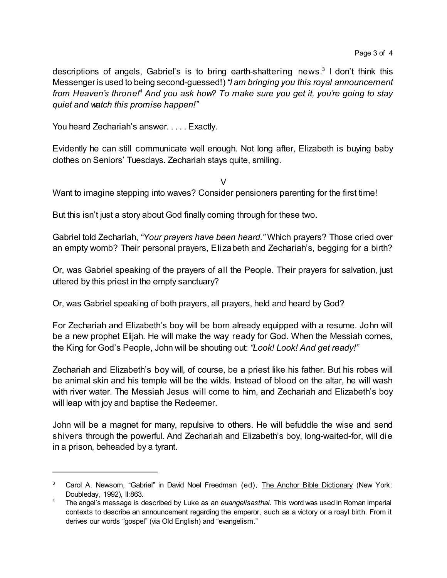descriptions of angels, Gabriel's is to bring earth-shattering news.<sup>3</sup> I don't think this Messenger is used to being second-guessed!)*"I am bringing you this royal announcement from Heaven's throne!<sup>4</sup> And you ask how? To make sure you get it, you're going to stay quiet and watch this promise happen!"*

You heard Zechariah's answer. . . . . Exactly.

Evidently he can still communicate well enough. Not long after, Elizabeth is buying baby clothes on Seniors' Tuesdays. Zechariah stays quite, smiling.

V

Want to imagine stepping into waves? Consider pensioners parenting for the first time!

But this isn't just a story about God finally coming through for these two.

Gabriel told Zechariah, *"Your prayers have been heard."* Which prayers? Those cried over an empty womb? Their personal prayers, Elizabeth and Zechariah's, begging for a birth?

Or, was Gabriel speaking of the prayers of all the People. Their prayers for salvation, just uttered by this priest in the empty sanctuary?

Or, was Gabriel speaking of both prayers, all prayers, held and heard by God?

For Zechariah and Elizabeth's boy will be born already equipped with a resume. John will be a new prophet Elijah. He will make the way ready for God. When the Messiah comes, the King for God's People, John will be shouting out: *"Look! Look! And get ready!"*

Zechariah and Elizabeth's boy will, of course, be a priest like his father. But his robes will be animal skin and his temple will be the wilds. Instead of blood on the altar, he will wash with river water. The Messiah Jesus will come to him, and Zechariah and Elizabeth's boy will leap with joy and baptise the Redeemer.

John will be a magnet for many, repulsive to others. He will befuddle the wise and send shivers through the powerful. And Zechariah and Elizabeth's boy, long-waited-for, will die in a prison, beheaded by a tyrant.

<sup>&</sup>lt;sup>3</sup> Carol A. Newsom, "Gabriel" in David Noel Freedman (ed), The Anchor Bible Dictionary (New York: Doubleday, 1992), II:863.

<sup>4</sup> The angel's message is described by Luke as an *euangelisasthai*. This word was used in Roman imperial contexts to describe an announcement regarding the emperor, such as a victory or a roayl birth. From it derives our words "gospel" (via Old English) and "evangelism."